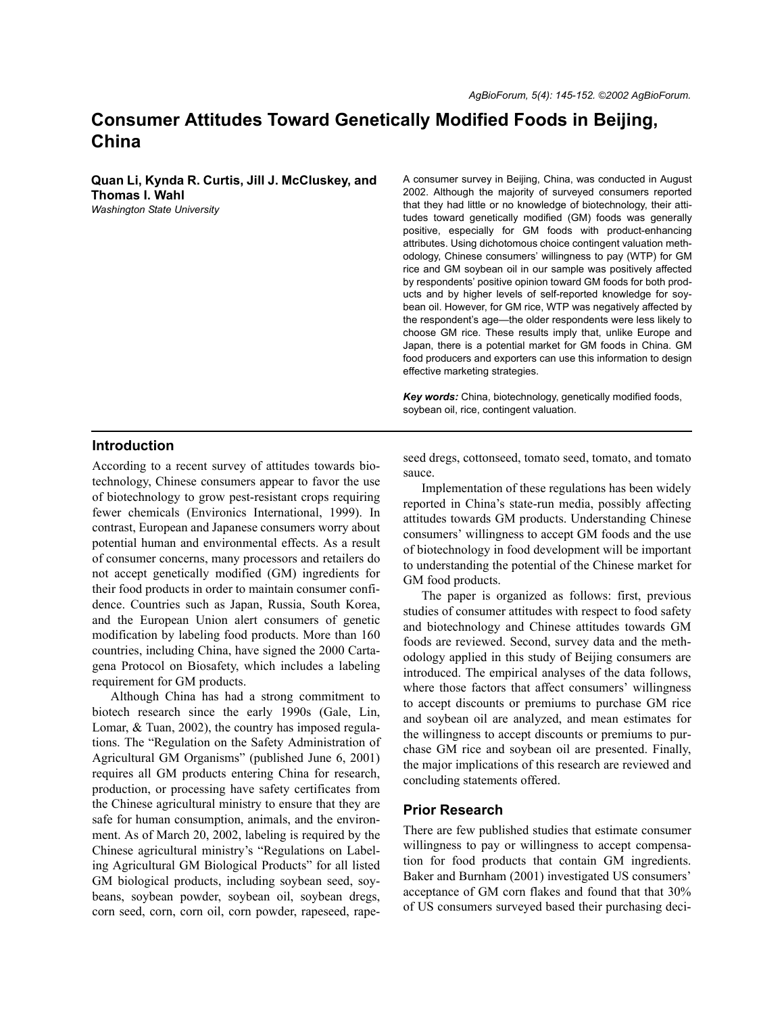# **Consumer Attitudes Toward Genetically Modified Foods in Beijing, China**

**Quan Li, Kynda R. Curtis, Jill J. McCluskey, and Thomas I. Wahl** *Washington State University*

A consumer survey in Beijing, China, was conducted in August 2002. Although the majority of surveyed consumers reported that they had little or no knowledge of biotechnology, their attitudes toward genetically modified (GM) foods was generally positive, especially for GM foods with product-enhancing attributes. Using dichotomous choice contingent valuation methodology, Chinese consumers' willingness to pay (WTP) for GM rice and GM soybean oil in our sample was positively affected by respondents' positive opinion toward GM foods for both products and by higher levels of self-reported knowledge for soybean oil. However, for GM rice, WTP was negatively affected by the respondent's age—the older respondents were less likely to choose GM rice. These results imply that, unlike Europe and Japan, there is a potential market for GM foods in China. GM food producers and exporters can use this information to design effective marketing strategies.

*Key words:* China, biotechnology, genetically modified foods, soybean oil, rice, contingent valuation.

#### **Introduction**

According to a recent survey of attitudes towards biotechnology, Chinese consumers appear to favor the use of biotechnology to grow pest-resistant crops requiring fewer chemicals (Environics International, 1999). In contrast, European and Japanese consumers worry about potential human and environmental effects. As a result of consumer concerns, many processors and retailers do not accept genetically modified (GM) ingredients for their food products in order to maintain consumer confidence. Countries such as Japan, Russia, South Korea, and the European Union alert consumers of genetic modification by labeling food products. More than 160 countries, including China, have signed the 2000 Cartagena Protocol on Biosafety, which includes a labeling requirement for GM products.

Although China has had a strong commitment to biotech research since the early 1990s (Gale, Lin, Lomar, & Tuan, 2002), the country has imposed regulations. The "Regulation on the Safety Administration of Agricultural GM Organisms" (published June 6, 2001) requires all GM products entering China for research, production, or processing have safety certificates from the Chinese agricultural ministry to ensure that they are safe for human consumption, animals, and the environment. As of March 20, 2002, labeling is required by the Chinese agricultural ministry's "Regulations on Labeling Agricultural GM Biological Products" for all listed GM biological products, including soybean seed, soybeans, soybean powder, soybean oil, soybean dregs, corn seed, corn, corn oil, corn powder, rapeseed, rapeseed dregs, cottonseed, tomato seed, tomato, and tomato sauce.

Implementation of these regulations has been widely reported in China's state-run media, possibly affecting attitudes towards GM products. Understanding Chinese consumers' willingness to accept GM foods and the use of biotechnology in food development will be important to understanding the potential of the Chinese market for GM food products.

The paper is organized as follows: first, previous studies of consumer attitudes with respect to food safety and biotechnology and Chinese attitudes towards GM foods are reviewed. Second, survey data and the methodology applied in this study of Beijing consumers are introduced. The empirical analyses of the data follows, where those factors that affect consumers' willingness to accept discounts or premiums to purchase GM rice and soybean oil are analyzed, and mean estimates for the willingness to accept discounts or premiums to purchase GM rice and soybean oil are presented. Finally, the major implications of this research are reviewed and concluding statements offered.

#### **Prior Research**

There are few published studies that estimate consumer willingness to pay or willingness to accept compensation for food products that contain GM ingredients. Baker and Burnham (2001) investigated US consumers' acceptance of GM corn flakes and found that that 30% of US consumers surveyed based their purchasing deci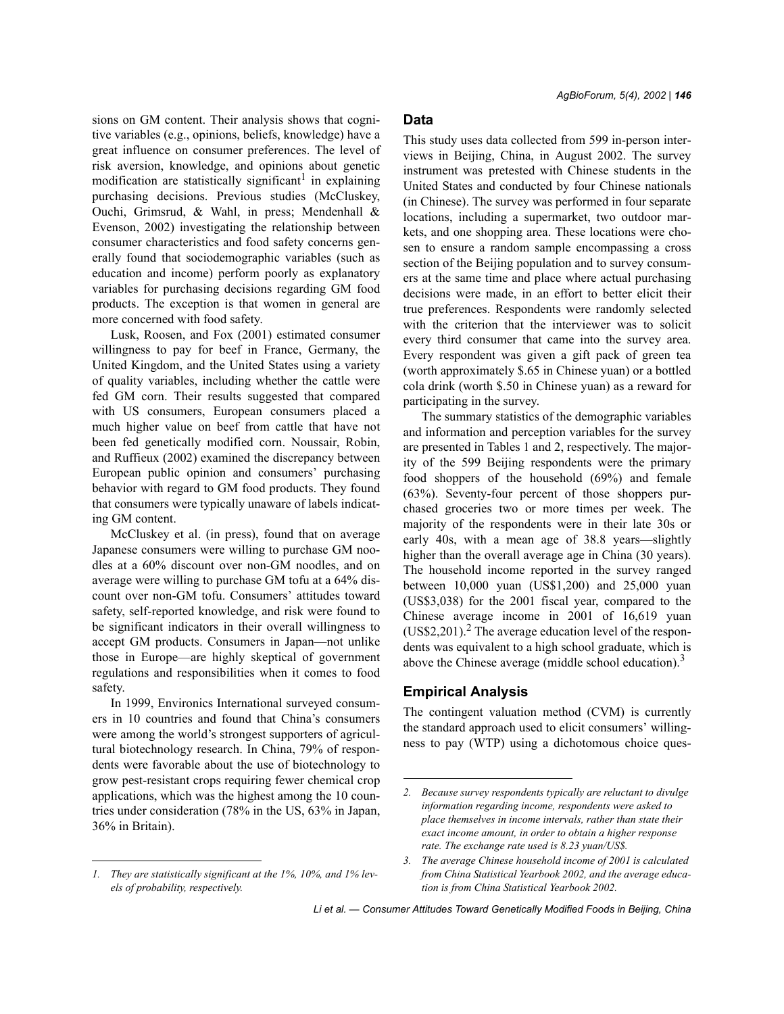sions on GM content. Their analysis shows that cognitive variables (e.g., opinions, beliefs, knowledge) have a great influence on consumer preferences. The level of risk aversion, knowledge, and opinions about genetic modification are statistically significant<sup>1</sup> in explaining purchasing decisions. Previous studies (McCluskey, Ouchi, Grimsrud, & Wahl, in press; Mendenhall & Evenson, 2002) investigating the relationship between consumer characteristics and food safety concerns generally found that sociodemographic variables (such as education and income) perform poorly as explanatory variables for purchasing decisions regarding GM food products. The exception is that women in general are more concerned with food safety.

Lusk, Roosen, and Fox (2001) estimated consumer willingness to pay for beef in France, Germany, the United Kingdom, and the United States using a variety of quality variables, including whether the cattle were fed GM corn. Their results suggested that compared with US consumers, European consumers placed a much higher value on beef from cattle that have not been fed genetically modified corn. Noussair, Robin, and Ruffieux (2002) examined the discrepancy between European public opinion and consumers' purchasing behavior with regard to GM food products. They found that consumers were typically unaware of labels indicating GM content.

McCluskey et al. (in press), found that on average Japanese consumers were willing to purchase GM noodles at a 60% discount over non-GM noodles, and on average were willing to purchase GM tofu at a 64% discount over non-GM tofu. Consumers' attitudes toward safety, self-reported knowledge, and risk were found to be significant indicators in their overall willingness to accept GM products. Consumers in Japan—not unlike those in Europe—are highly skeptical of government regulations and responsibilities when it comes to food safety.

In 1999, Environics International surveyed consumers in 10 countries and found that China's consumers were among the world's strongest supporters of agricultural biotechnology research. In China, 79% of respondents were favorable about the use of biotechnology to grow pest-resistant crops requiring fewer chemical crop applications, which was the highest among the 10 countries under consideration (78% in the US, 63% in Japan, 36% in Britain).

# **Data**

This study uses data collected from 599 in-person interviews in Beijing, China, in August 2002. The survey instrument was pretested with Chinese students in the United States and conducted by four Chinese nationals (in Chinese). The survey was performed in four separate locations, including a supermarket, two outdoor markets, and one shopping area. These locations were chosen to ensure a random sample encompassing a cross section of the Beijing population and to survey consumers at the same time and place where actual purchasing decisions were made, in an effort to better elicit their true preferences. Respondents were randomly selected with the criterion that the interviewer was to solicit every third consumer that came into the survey area. Every respondent was given a gift pack of green tea (worth approximately \$.65 in Chinese yuan) or a bottled cola drink (worth \$.50 in Chinese yuan) as a reward for participating in the survey.

The summary statistics of the demographic variables and information and perception variables for the survey are presented in Tables 1 and 2, respectively. The majority of the 599 Beijing respondents were the primary food shoppers of the household (69%) and female (63%). Seventy-four percent of those shoppers purchased groceries two or more times per week. The majority of the respondents were in their late 30s or early  $40s$ , with a mean age of  $38.8$  years—slightly higher than the overall average age in China (30 years). The household income reported in the survey ranged between 10,000 yuan (US\$1,200) and 25,000 yuan (US\$3,038) for the 2001 fiscal year, compared to the Chinese average income in 2001 of 16,619 yuan (US\$2,201).<sup>2</sup> The average education level of the respondents was equivalent to a high school graduate, which is above the Chinese average (middle school education).<sup>3</sup>

## **Empirical Analysis**

The contingent valuation method (CVM) is currently the standard approach used to elicit consumers' willingness to pay (WTP) using a dichotomous choice ques-

Li et al. – Consumer Attitudes Toward Genetically Modified Foods in Beijing, China

*<sup>1.</sup> They are statistically significant at the 1%, 10%, and 1% levels of probability, respectively.*

*<sup>2.</sup> Because survey respondents typically are reluctant to divulge information regarding income, respondents were asked to place themselves in income intervals, rather than state their exact income amount, in order to obtain a higher response rate. The exchange rate used is 8.23 yuan/US\$.*

*<sup>3.</sup> The average Chinese household income of 2001 is calculated from China Statistical Yearbook 2002, and the average education is from China Statistical Yearbook 2002.*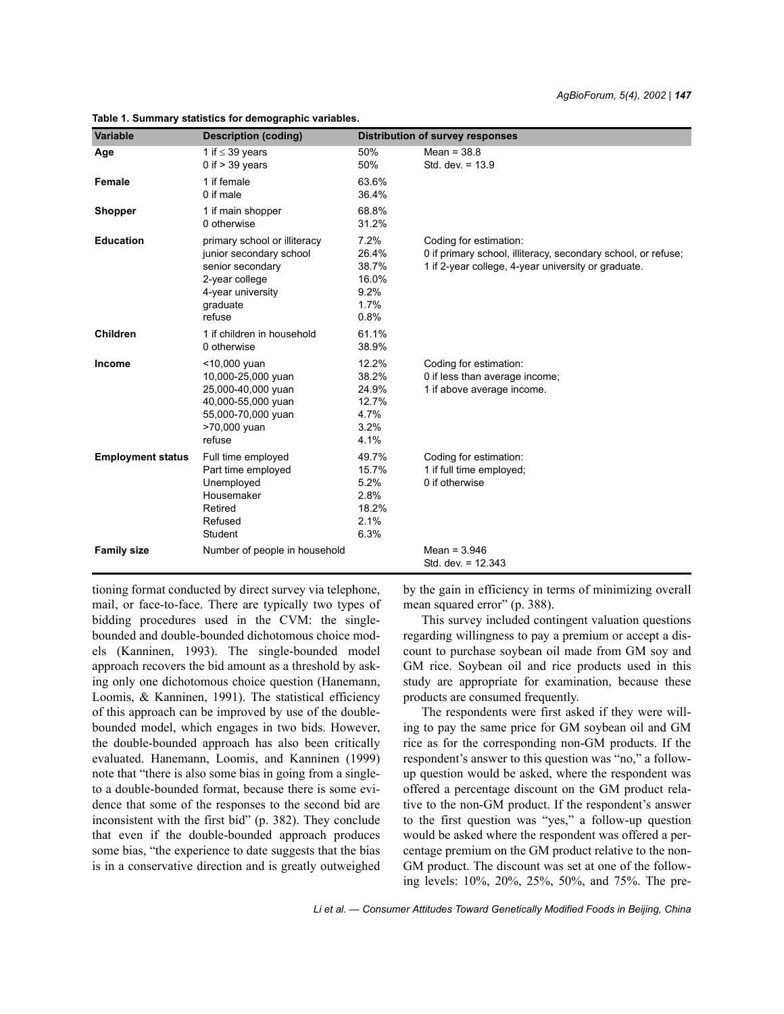| <b>Variable</b>          | <b>Description (coding)</b>                                                                                                              | <b>Distribution of survey responses</b>                  |                                                                                                                                                |  |
|--------------------------|------------------------------------------------------------------------------------------------------------------------------------------|----------------------------------------------------------|------------------------------------------------------------------------------------------------------------------------------------------------|--|
| Age                      | 1 if $\leq$ 39 years<br>0 if $>$ 39 years                                                                                                | 50%<br>50%                                               | Mean = $38.8$<br>Std. dev. $= 13.9$                                                                                                            |  |
| Female                   | 1 if female<br>0 if male                                                                                                                 | 63.6%<br>36.4%                                           |                                                                                                                                                |  |
| <b>Shopper</b>           | 1 if main shopper<br>0 otherwise                                                                                                         | 68.8%<br>31.2%                                           |                                                                                                                                                |  |
| <b>Education</b>         | primary school or illiteracy<br>junior secondary school<br>senior secondary<br>2-year college<br>4-year university<br>graduate<br>refuse | 7.2%<br>26.4%<br>38.7%<br>16.0%<br>9.2%<br>1.7%<br>0.8%  | Coding for estimation:<br>0 if primary school, illiteracy, secondary school, or refuse;<br>1 if 2-year college, 4-year university or graduate. |  |
| <b>Children</b>          | 1 if children in household<br>0 otherwise                                                                                                | 61.1%<br>38.9%                                           |                                                                                                                                                |  |
| Income                   | <10,000 yuan<br>10,000-25,000 yuan<br>25,000-40,000 yuan<br>40,000-55,000 yuan<br>55,000-70,000 yuan<br>>70,000 yuan<br>refuse           | 12.2%<br>38.2%<br>24.9%<br>12.7%<br>4.7%<br>3.2%<br>4.1% | Coding for estimation:<br>0 if less than average income;<br>1 if above average income.                                                         |  |
| <b>Employment status</b> | Full time employed<br>Part time employed<br>Unemployed<br>Housemaker<br>Retired<br>Refused<br>Student                                    | 49.7%<br>15.7%<br>5.2%<br>2.8%<br>18.2%<br>2.1%<br>6.3%  | Coding for estimation:<br>1 if full time employed;<br>0 if otherwise                                                                           |  |
| <b>Family size</b>       | Number of people in household                                                                                                            |                                                          | Mean = $3.946$<br>Std. dev. $= 12.343$                                                                                                         |  |

**Table 1. Summary statistics for demographic variables.**

tioning format conducted by direct survey via telephone, mail, or face-to-face. There are typically two types of bidding procedures used in the CVM: the singlebounded and double-bounded dichotomous choice models (Kanninen, 1993). The single-bounded model approach recovers the bid amount as a threshold by asking only one dichotomous choice question (Hanemann, Loomis, & Kanninen, 1991). The statistical efficiency of this approach can be improved by use of the doublebounded model, which engages in two bids. However, the double-bounded approach has also been critically evaluated. Hanemann, Loomis, and Kanninen (1999) note that "there is also some bias in going from a singleto a double-bounded format, because there is some evidence that some of the responses to the second bid are inconsistent with the first bid" (p. 382). They conclude that even if the double-bounded approach produces some bias, "the experience to date suggests that the bias is in a conservative direction and is greatly outweighed by the gain in efficiency in terms of minimizing overall mean squared error" (p. 388).

This survey included contingent valuation questions regarding willingness to pay a premium or accept a discount to purchase soybean oil made from GM soy and GM rice. Soybean oil and rice products used in this study are appropriate for examination, because these products are consumed frequently.

The respondents were first asked if they were willing to pay the same price for GM soybean oil and GM rice as for the corresponding non-GM products. If the respondent's answer to this question was "no," a followup question would be asked, where the respondent was offered a percentage discount on the GM product relative to the non-GM product. If the respondent's answer to the first question was "yes," a follow-up question would be asked where the respondent was offered a percentage premium on the GM product relative to the non-GM product. The discount was set at one of the following levels: 10%, 20%, 25%, 50%, and 75%. The pre-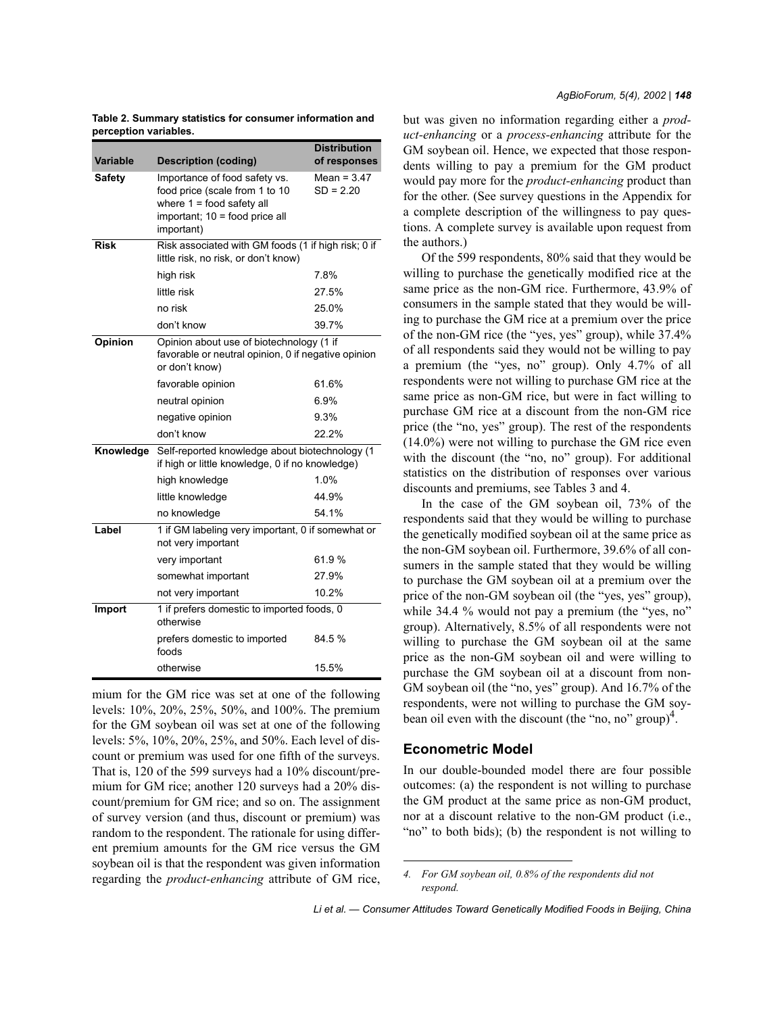| Variable      | <b>Description (coding)</b>                                                                                                                    | <b>Distribution</b><br>of responses                                                             |  |  |  |
|---------------|------------------------------------------------------------------------------------------------------------------------------------------------|-------------------------------------------------------------------------------------------------|--|--|--|
| <b>Safety</b> | Importance of food safety vs.<br>food price (scale from 1 to 10<br>where $1 =$ food safety all<br>important; 10 = food price all<br>important) | Mean = $3.47$<br>$SD = 2.20$                                                                    |  |  |  |
| <b>Risk</b>   | little risk, no risk, or don't know)                                                                                                           | Risk associated with GM foods (1 if high risk; 0 if                                             |  |  |  |
|               | high risk                                                                                                                                      | 7.8%                                                                                            |  |  |  |
|               | little risk                                                                                                                                    | 27.5%                                                                                           |  |  |  |
|               | no risk                                                                                                                                        | 25.0%                                                                                           |  |  |  |
|               | don't know                                                                                                                                     | 39.7%                                                                                           |  |  |  |
| Opinion       | or don't know)                                                                                                                                 | Opinion about use of biotechnology (1 if<br>favorable or neutral opinion, 0 if negative opinion |  |  |  |
|               | favorable opinion                                                                                                                              | 61.6%                                                                                           |  |  |  |
|               | neutral opinion                                                                                                                                | 6.9%                                                                                            |  |  |  |
|               | negative opinion                                                                                                                               | 9.3%                                                                                            |  |  |  |
|               | don't know                                                                                                                                     | 22.2%                                                                                           |  |  |  |
| Knowledge     | if high or little knowledge, 0 if no knowledge)                                                                                                | Self-reported knowledge about biotechnology (1                                                  |  |  |  |
|               | high knowledge                                                                                                                                 | 1.0%                                                                                            |  |  |  |
|               | little knowledge                                                                                                                               | 44.9%                                                                                           |  |  |  |
|               | no knowledge                                                                                                                                   | 54.1%                                                                                           |  |  |  |
| Label         | 1 if GM labeling very important, 0 if somewhat or<br>not very important                                                                        |                                                                                                 |  |  |  |
|               | very important                                                                                                                                 | 61.9%                                                                                           |  |  |  |
|               | somewhat important                                                                                                                             | 27.9%                                                                                           |  |  |  |
|               | not very important                                                                                                                             | 10.2%                                                                                           |  |  |  |
| Import        | 1 if prefers domestic to imported foods, 0<br>otherwise                                                                                        |                                                                                                 |  |  |  |
|               | prefers domestic to imported<br>foods                                                                                                          | 84.5 %                                                                                          |  |  |  |
|               | otherwise                                                                                                                                      | 15.5%                                                                                           |  |  |  |

**Table 2. Summary statistics for consumer information and perception variables.**

mium for the GM rice was set at one of the following levels: 10%, 20%, 25%, 50%, and 100%. The premium for the GM soybean oil was set at one of the following levels: 5%, 10%, 20%, 25%, and 50%. Each level of discount or premium was used for one fifth of the surveys. That is, 120 of the 599 surveys had a 10% discount/premium for GM rice; another 120 surveys had a 20% discount/premium for GM rice; and so on. The assignment of survey version (and thus, discount or premium) was random to the respondent. The rationale for using different premium amounts for the GM rice versus the GM soybean oil is that the respondent was given information regarding the *product-enhancing* attribute of GM rice, but was given no information regarding either a *product-enhancing* or a *process-enhancing* attribute for the GM soybean oil. Hence, we expected that those respondents willing to pay a premium for the GM product would pay more for the *product-enhancing* product than for the other. (See survey questions in the Appendix for a complete description of the willingness to pay questions. A complete survey is available upon request from the authors.)

Of the 599 respondents, 80% said that they would be willing to purchase the genetically modified rice at the same price as the non-GM rice. Furthermore, 43.9% of consumers in the sample stated that they would be willing to purchase the GM rice at a premium over the price of the non-GM rice (the "yes, yes" group), while  $37.4\%$ of all respondents said they would not be willing to pay a premium (the "yes, no" group). Only 4.7% of all respondents were not willing to purchase GM rice at the same price as non-GM rice, but were in fact willing to purchase GM rice at a discount from the non-GM rice price (the "no, yes" group). The rest of the respondents (14.0%) were not willing to purchase the GM rice even with the discount (the "no, no" group). For additional statistics on the distribution of responses over various discounts and premiums, see Tables 3 and 4.

In the case of the GM soybean oil, 73% of the respondents said that they would be willing to purchase the genetically modified soybean oil at the same price as the non-GM soybean oil. Furthermore, 39.6% of all consumers in the sample stated that they would be willing to purchase the GM soybean oil at a premium over the price of the non-GM soybean oil (the "yes, yes" group), while  $34.4\%$  would not pay a premium (the "yes, no" group). Alternatively, 8.5% of all respondents were not willing to purchase the GM soybean oil at the same price as the non-GM soybean oil and were willing to purchase the GM soybean oil at a discount from non-GM soybean oil (the "no, yes" group). And 16.7% of the respondents, were not willing to purchase the GM soybean oil even with the discount (the "no, no" group)<sup>4</sup>.

#### **Econometric Model**

In our double-bounded model there are four possible outcomes: (a) the respondent is not willing to purchase the GM product at the same price as non-GM product, nor at a discount relative to the non-GM product (i.e., "no" to both bids); (b) the respondent is not willing to

*<sup>4.</sup> For GM soybean oil, 0.8% of the respondents did not respond.*

Li et al. – Consumer Attitudes Toward Genetically Modified Foods in Beijing, China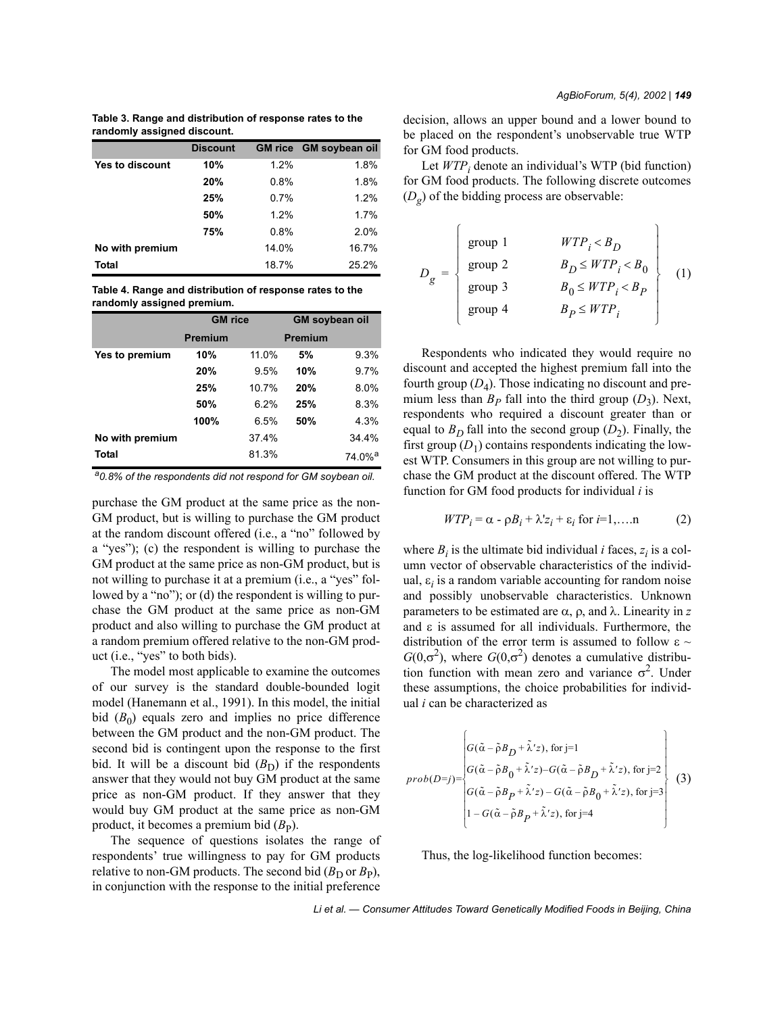**Table 3. Range and distribution of response rates to the randomly assigned discount.**

|                        | <b>Discount</b> |       | <b>GM rice GM soybean oil</b> |
|------------------------|-----------------|-------|-------------------------------|
| <b>Yes to discount</b> | 10%             | 1.2%  | 1.8%                          |
|                        | 20%             | 0.8%  | 1.8%                          |
|                        | 25%             | 0.7%  | 1.2%                          |
|                        | 50%             | 1.2%  | 1.7%                          |
|                        | 75%             | 0.8%  | 2.0%                          |
| No with premium        |                 | 14.0% | 16.7%                         |
| Total                  |                 | 18.7% | 25.2%                         |

**Table 4. Range and distribution of response rates to the randomly assigned premium.**

|                 | <b>GM</b> rice |       | <b>GM soybean oil</b> |                    |
|-----------------|----------------|-------|-----------------------|--------------------|
|                 | <b>Premium</b> |       | <b>Premium</b>        |                    |
| Yes to premium  | 10%            | 11.0% | 5%                    | 9.3%               |
|                 | 20%            | 9.5%  | 10%                   | 9.7%               |
|                 | 25%            | 10.7% | 20%                   | 8.0%               |
|                 | 50%            | 6.2%  | 25%                   | 8.3%               |
|                 | 100%           | 6.5%  | 50%                   | 4.3%               |
| No with premium |                | 37.4% |                       | 34.4%              |
| <b>Total</b>    |                | 81.3% |                       | 74.0% <sup>a</sup> |

*a0.8% of the respondents did not respond for GM soybean oil.*

purchase the GM product at the same price as the non-GM product, but is willing to purchase the GM product at the random discount offered (i.e., a "no" followed by a "yes"); (c) the respondent is willing to purchase the GM product at the same price as non-GM product, but is not willing to purchase it at a premium (i.e., a "yes" followed by a "no"); or (d) the respondent is willing to purchase the GM product at the same price as non-GM product and also willing to purchase the GM product at a random premium offered relative to the non-GM product (i.e., "yes" to both bids).

The model most applicable to examine the outcomes of our survey is the standard double-bounded logit model (Hanemann et al., 1991). In this model, the initial bid  $(B_0)$  equals zero and implies no price difference between the GM product and the non-GM product. The second bid is contingent upon the response to the first bid. It will be a discount bid  $(B<sub>D</sub>)$  if the respondents answer that they would not buy GM product at the same price as non-GM product. If they answer that they would buy GM product at the same price as non-GM product, it becomes a premium bid  $(B<sub>P</sub>)$ .

The sequence of questions isolates the range of respondents' true willingness to pay for GM products relative to non-GM products. The second bid  $(B_D \text{ or } B_P)$ , in conjunction with the response to the initial preference decision, allows an upper bound and a lower bound to be placed on the respondent's unobservable true WTP for GM food products.

Let  $WTP_i$  denote an individual's WTP (bid function) for GM food products. The following discrete outcomes (*Dg*) of the bidding process are observable:

$$
D_g = \begin{cases} \text{group 1} & WTP_i < B_D \\ \text{group 2} & B_D \le WTP_i < B_0 \\ \text{group 3} & B_0 \le WTP_i < B_p \\ \text{group 4} & B_P \le WTP_i \end{cases} \tag{1}
$$

Respondents who indicated they would require no discount and accepted the highest premium fall into the fourth group  $(D_4)$ . Those indicating no discount and premium less than  $B_P$  fall into the third group  $(D_3)$ . Next, respondents who required a discount greater than or equal to  $B<sub>D</sub>$  fall into the second group  $(D<sub>2</sub>)$ . Finally, the first group  $(D_1)$  contains respondents indicating the lowest WTP. Consumers in this group are not willing to purchase the GM product at the discount offered. The WTP function for GM food products for individual *i* is

$$
WTP_i = \alpha - \rho B_i + \lambda' z_i + \varepsilon_i \text{ for } i=1,\dots n \tag{2}
$$

where  $B_i$  is the ultimate bid individual *i* faces,  $z_i$  is a column vector of observable characteristics of the individual,  $\varepsilon$ <sub>*i*</sub> is a random variable accounting for random noise and possibly unobservable characteristics. Unknown parameters to be estimated are  $\alpha$ ,  $\rho$ , and  $\lambda$ . Linearity in *z* and  $\varepsilon$  is assumed for all individuals. Furthermore, the distribution of the error term is assumed to follow  $\varepsilon \sim$  $G(0,\sigma^2)$ , where  $G(0,\sigma^2)$  denotes a cumulative distribution function with mean zero and variance  $\sigma^2$ . Under these assumptions, the choice probabilities for individual *i* can be characterized as

$$
prob(D=j) = \begin{cases} G(\tilde{\alpha} - \tilde{\rho}B_D + \tilde{\lambda}'z), \text{ for } j=1\\ G(\tilde{\alpha} - \tilde{\rho}B_0 + \tilde{\lambda}'z) - G(\tilde{\alpha} - \tilde{\rho}B_D + \tilde{\lambda}'z), \text{ for } j=2\\ G(\tilde{\alpha} - \tilde{\rho}B_P + \tilde{\lambda}'z) - G(\tilde{\alpha} - \tilde{\rho}B_0 + \tilde{\lambda}'z), \text{ for } j=3\\ 1 - G(\tilde{\alpha} - \tilde{\rho}B_P + \tilde{\lambda}'z), \text{ for } j=4 \end{cases}
$$
(3)

Thus, the log-likelihood function becomes: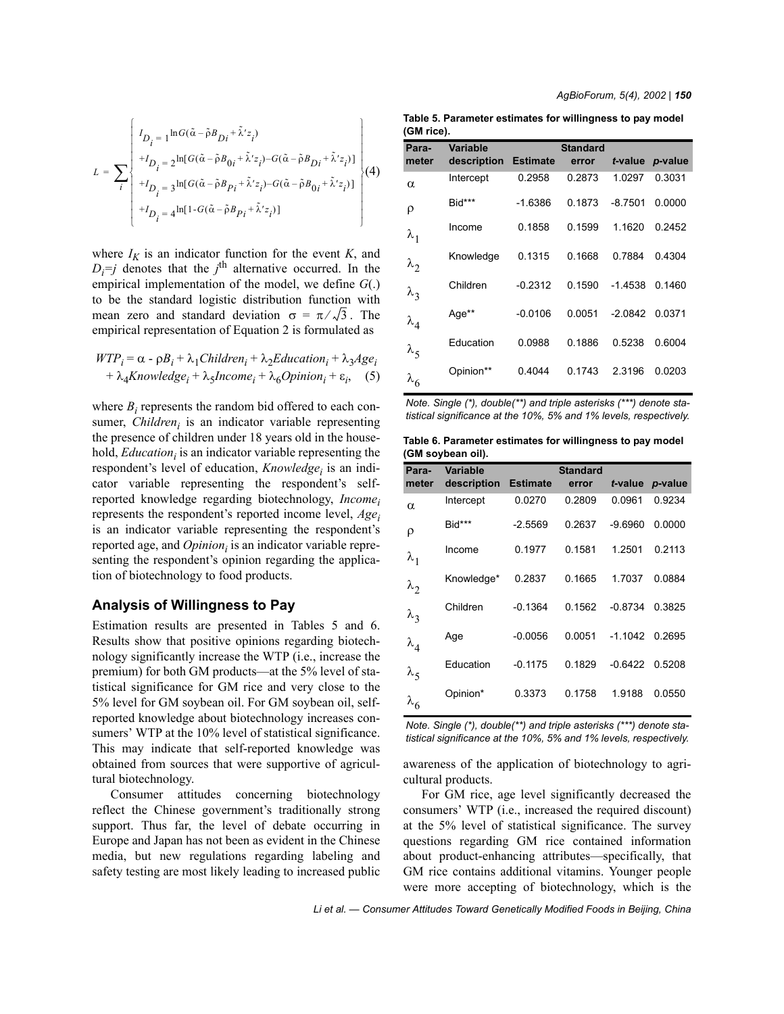$$
L = \sum_{i} \begin{bmatrix} I_{D_i=1} \ln G(\tilde{\alpha} - \tilde{\rho} B_{Di} + \tilde{\lambda}' z_i) \\ + I_{D_i=2} \ln [G(\tilde{\alpha} - \tilde{\rho} B_{0i} + \tilde{\lambda}' z_i) - G(\tilde{\alpha} - \tilde{\rho} B_{Di} + \tilde{\lambda}' z_i)] \\ + I_{D_i=3} \ln [G(\tilde{\alpha} - \tilde{\rho} B_{Pi} + \tilde{\lambda}' z_i) - G(\tilde{\alpha} - \tilde{\rho} B_{0i} + \tilde{\lambda}' z_i)] \\ + I_{D_i=4} \ln [1 - G(\tilde{\alpha} - \tilde{\rho} B_{Pi} + \tilde{\lambda}' z_i)] \end{bmatrix} (4)
$$

where  $I_K$  is an indicator function for the event  $K$ , and  $D_i = j$  denotes that the *j*<sup>th</sup> alternative occurred. In the empirical implementation of the model, we define *G*(.) to be the standard logistic distribution function with mean zero and standard deviation  $\sigma = \pi / \sqrt{3}$ . The empirical representation of Equation 2 is formulated as

$$
WTP_i = \alpha - \rho B_i + \lambda_1 Children_i + \lambda_2 Education_i + \lambda_3 Age_i
$$
  
+  $\lambda_4 Knowledge_i + \lambda_5 Income_i + \lambda_6 Opinion_i + \varepsilon_i$ , (5)

where  $B_i$  represents the random bid offered to each consumer, *Children<sub>i</sub>* is an indicator variable representing the presence of children under 18 years old in the household, *Education*<sub>i</sub> is an indicator variable representing the respondent's level of education, *Knowledge<sub>i</sub>* is an indicator variable representing the respondent's selfreported knowledge regarding biotechnology, *Incomei* represents the respondent's reported income level,  $Age<sub>i</sub>$ is an indicator variable representing the respondent's reported age, and *Opinion<sub>i</sub>* is an indicator variable representing the respondent's opinion regarding the application of biotechnology to food products.

#### **Analysis of Willingness to Pay**

Estimation results are presented in Tables 5 and 6. Results show that positive opinions regarding biotechnology significantly increase the WTP (i.e., increase the premium) for both GM products—at the 5% level of statistical significance for GM rice and very close to the 5% level for GM soybean oil. For GM soybean oil, selfreported knowledge about biotechnology increases consumers' WTP at the 10% level of statistical significance. This may indicate that self-reported knowledge was obtained from sources that were supportive of agricultural biotechnology.

Consumer attitudes concerning biotechnology reflect the Chinese government's traditionally strong support. Thus far, the level of debate occurring in Europe and Japan has not been as evident in the Chinese media, but new regulations regarding labeling and safety testing are most likely leading to increased public

*AgBioForum, 5(4), 2002 | 150*

**Table 5. Parameter estimates for willingness to pay model (GM rice).**

| Para-                 | Variable    |                 | Standard |           |         |
|-----------------------|-------------|-----------------|----------|-----------|---------|
| meter                 | description | <b>Estimate</b> | error    | t-value   | p-value |
| $\alpha$              | Intercept   | 0.2958          | 0.2873   | 1.0297    | 0.3031  |
| ρ                     | Bid***      | $-1.6386$       | 0.1873   | $-8.7501$ | 0.0000  |
| $\lambda_1$           | Income      | 0.1858          | 0.1599   | 1.1620    | 0.2452  |
| $\lambda_2$           | Knowledge   | 0.1315          | 0.1668   | 0.7884    | 0.4304  |
| $\lambda_3$           | Children    | $-0.2312$       | 0.1590   | $-1.4538$ | 0.1460  |
| $\lambda_4$           | Age**       | $-0.0106$       | 0.0051   | $-2.0842$ | 0.0371  |
| $\lambda_{\varsigma}$ | Education   | 0.0988          | 0.1886   | 0.5238    | 0.6004  |
| $\lambda_6$           | Opinion**   | 0.4044          | 0.1743   | 2.3196    | 0.0203  |

| Note. Single (*), double(**) and triple asterisks (***) denote sta- |  |
|---------------------------------------------------------------------|--|
| tistical significance at the 10%, 5% and 1% levels, respectively.   |  |

**Table 6. Parameter estimates for willingness to pay model (GM soybean oil).**

| Para-         | Variable    |                 | <b>Standard</b> |                  |                 |
|---------------|-------------|-----------------|-----------------|------------------|-----------------|
| meter         | description | <b>Estimate</b> | error           |                  | t-value p-value |
| $\alpha$      | Intercept   | 0.0270          | 0.2809          | 0.0961           | 0.9234          |
| ρ             | Bid***      | $-2.5569$       | 0.2637          | $-9.6960$        | 0.0000          |
| $\lambda_1$   | Income      | 0.1977          | 0.1581          | 1.2501           | 0.2113          |
| $\lambda_2$   | Knowledge*  | 0.2837          | 0.1665          | 1.7037           | 0.0884          |
| $\lambda_3$   | Children    | $-0.1364$       | 0.1562          | $-0.8734$        | 0.3825          |
| $\lambda_4$   | Age         | $-0.0056$       | 0.0051          | $-1.1042$ 0.2695 |                 |
| $\lambda_{5}$ | Education   | $-0.1175$       | 0.1829          | $-0.6422$        | 0.5208          |
| $\lambda_6$   | Opinion*    | 0.3373          | 0.1758          | 1.9188           | 0.0550          |
|               |             |                 |                 |                  |                 |

*Note. Single (\*), double(\*\*) and triple asterisks (\*\*\*) denote statistical significance at the 10%, 5% and 1% levels, respectively.*

awareness of the application of biotechnology to agricultural products.

For GM rice, age level significantly decreased the consumers' WTP (i.e., increased the required discount) at the 5% level of statistical significance. The survey questions regarding GM rice contained information about product-enhancing attributes—specifically, that GM rice contains additional vitamins. Younger people were more accepting of biotechnology, which is the

Li et al. – Consumer Attitudes Toward Genetically Modified Foods in Beijing, China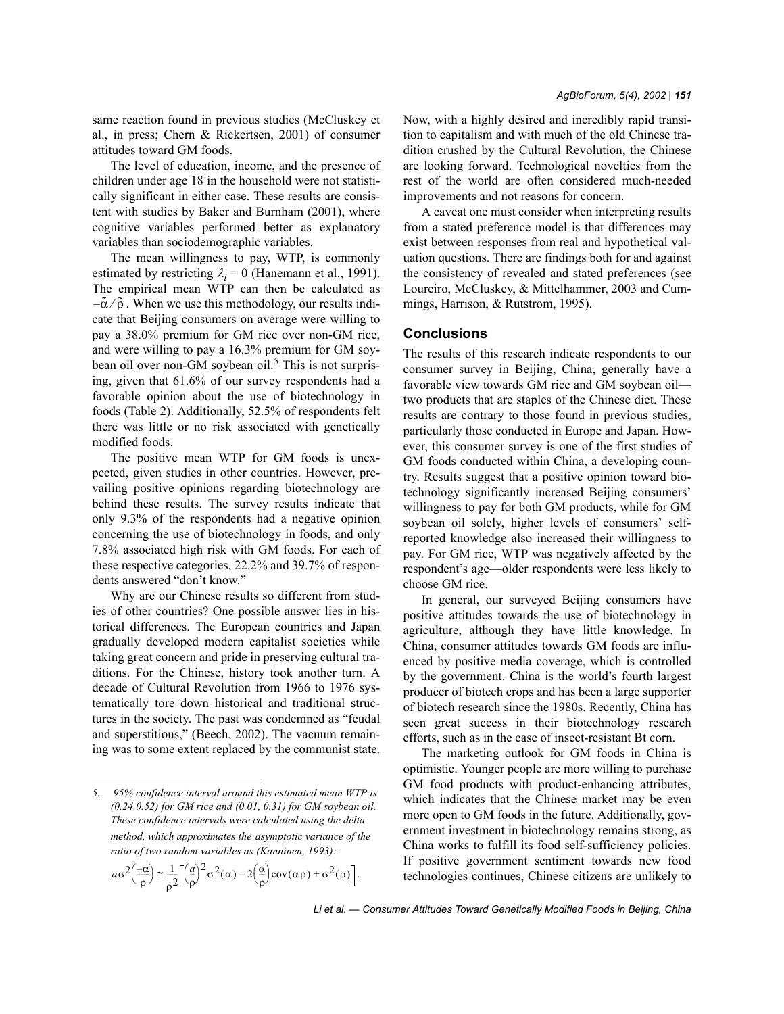same reaction found in previous studies (McCluskey et al., in press; Chern & Rickertsen, 2001) of consumer attitudes toward GM foods.

The level of education, income, and the presence of children under age 18 in the household were not statistically significant in either case. These results are consistent with studies by Baker and Burnham (2001), where cognitive variables performed better as explanatory variables than sociodemographic variables.

The mean willingness to pay, WTP, is commonly estimated by restricting  $\lambda_i = 0$  (Hanemann et al., 1991). The empirical mean WTP can then be calculated as  $-\tilde{\alpha}/\tilde{\rho}$ . When we use this methodology, our results indicate that Beijing consumers on average were willing to pay a 38.0% premium for GM rice over non-GM rice, and were willing to pay a 16.3% premium for GM soybean oil over non-GM soybean oil.<sup>5</sup> This is not surprising, given that 61.6% of our survey respondents had a favorable opinion about the use of biotechnology in foods (Table 2). Additionally, 52.5% of respondents felt there was little or no risk associated with genetically modified foods.

The positive mean WTP for GM foods is unexpected, given studies in other countries. However, prevailing positive opinions regarding biotechnology are behind these results. The survey results indicate that only 9.3% of the respondents had a negative opinion concerning the use of biotechnology in foods, and only 7.8% associated high risk with GM foods. For each of these respective categories, 22.2% and 39.7% of respondents answered "don't know."

Why are our Chinese results so different from studies of other countries? One possible answer lies in historical differences. The European countries and Japan gradually developed modern capitalist societies while taking great concern and pride in preserving cultural traditions. For the Chinese, history took another turn. A decade of Cultural Revolution from 1966 to 1976 systematically tore down historical and traditional structures in the society. The past was condemned as "feudal and superstitious," (Beech, 2002). The vacuum remaining was to some extent replaced by the communist state.

$$
a\sigma^2\left(\frac{-\alpha}{\rho}\right) \leq \frac{1}{\rho^2} \left[\left(\frac{a}{\rho}\right)^2 \sigma^2(\alpha) - 2\left(\frac{\alpha}{\rho}\right) \text{cov}(\alpha \rho) + \sigma^2(\rho)\right].
$$

Now, with a highly desired and incredibly rapid transition to capitalism and with much of the old Chinese tradition crushed by the Cultural Revolution, the Chinese are looking forward. Technological novelties from the rest of the world are often considered much-needed improvements and not reasons for concern.

A caveat one must consider when interpreting results from a stated preference model is that differences may exist between responses from real and hypothetical valuation questions. There are findings both for and against the consistency of revealed and stated preferences (see Loureiro, McCluskey, & Mittelhammer, 2003 and Cummings, Harrison, & Rutstrom, 1995).

#### **Conclusions**

The results of this research indicate respondents to our consumer survey in Beijing, China, generally have a favorable view towards GM rice and GM soybean oil two products that are staples of the Chinese diet. These results are contrary to those found in previous studies, particularly those conducted in Europe and Japan. However, this consumer survey is one of the first studies of GM foods conducted within China, a developing country. Results suggest that a positive opinion toward biotechnology significantly increased Beijing consumers' willingness to pay for both GM products, while for GM soybean oil solely, higher levels of consumers' selfreported knowledge also increased their willingness to pay. For GM rice, WTP was negatively affected by the respondent's age-older respondents were less likely to choose GM rice.

In general, our surveyed Beijing consumers have positive attitudes towards the use of biotechnology in agriculture, although they have little knowledge. In China, consumer attitudes towards GM foods are influenced by positive media coverage, which is controlled by the government. China is the world's fourth largest producer of biotech crops and has been a large supporter of biotech research since the 1980s. Recently, China has seen great success in their biotechnology research efforts, such as in the case of insect-resistant Bt corn.

The marketing outlook for GM foods in China is optimistic. Younger people are more willing to purchase GM food products with product-enhancing attributes, which indicates that the Chinese market may be even more open to GM foods in the future. Additionally, government investment in biotechnology remains strong, as China works to fulfill its food self-sufficiency policies. If positive government sentiment towards new food technologies continues, Chinese citizens are unlikely to

*<sup>5. 95%</sup> confidence interval around this estimated mean WTP is (0.24,0.52) for GM rice and (0.01, 0.31) for GM soybean oil. These confidence intervals were calculated using the delta method, which approximates the asymptotic variance of the ratio of two random variables as (Kanninen, 1993):*